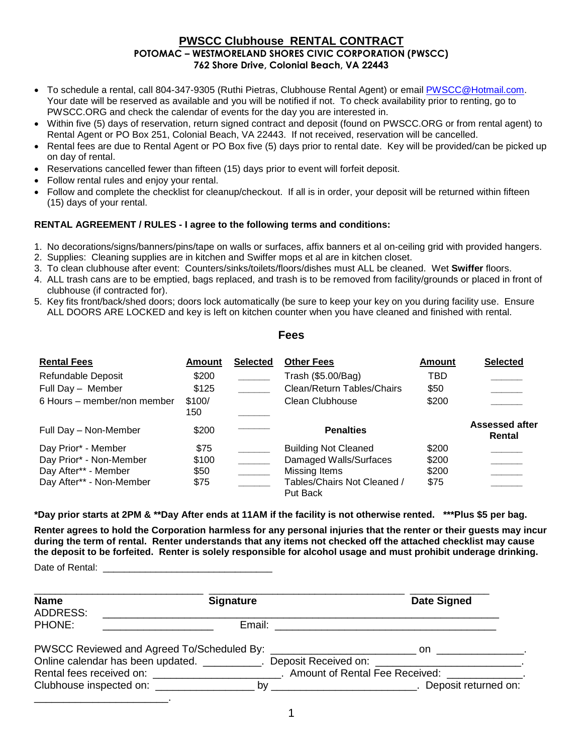#### **PWSCC Clubhouse RENTAL CONTRACT POTOMAC – WESTMORELAND SHORES CIVIC CORPORATION (PWSCC) 762 Shore Drive, Colonial Beach, VA 22443**

- To schedule a rental, call 804-347-9305 (Ruthi Pietras, Clubhouse Rental Agent) or email PWSCC@Hotmail.com. Your date will be reserved as available and you will be notified if not. To check availability prior to renting, go to PWSCC.ORG and check the calendar of events for the day you are interested in.
- Within five (5) days of reservation, return signed contract and deposit (found on PWSCC.ORG or from rental agent) to Rental Agent or PO Box 251, Colonial Beach, VA 22443. If not received, reservation will be cancelled.
- Rental fees are due to Rental Agent or PO Box five (5) days prior to rental date. Key will be provided/can be picked up on day of rental.
- Reservations cancelled fewer than fifteen (15) days prior to event will forfeit deposit.
- Follow rental rules and enjoy your rental.
- Follow and complete the checklist for cleanup/checkout. If all is in order, your deposit will be returned within fifteen (15) days of your rental.

#### **RENTAL AGREEMENT / RULES - I agree to the following terms and conditions:**

- 1. No decorations/signs/banners/pins/tape on walls or surfaces, affix banners et al on-ceiling grid with provided hangers.
- 2. Supplies: Cleaning supplies are in kitchen and Swiffer mops et al are in kitchen closet.
- 3. To clean clubhouse after event: Counters/sinks/toilets/floors/dishes must ALL be cleaned. Wet **Swiffer** floors.
- 4. ALL trash cans are to be emptied, bags replaced, and trash is to be removed from facility/grounds or placed in front of clubhouse (if contracted for).
- 5. Key fits front/back/shed doors; doors lock automatically (be sure to keep your key on you during facility use. Ensure ALL DOORS ARE LOCKED and key is left on kitchen counter when you have cleaned and finished with rental.

**Fees**

| <b>Rental Fees</b>                                                                                 | Amount                          | <b>Selected</b> | <b>Other Fees</b>                                                                                                 | Amount                          | <b>Selected</b>                 |
|----------------------------------------------------------------------------------------------------|---------------------------------|-----------------|-------------------------------------------------------------------------------------------------------------------|---------------------------------|---------------------------------|
| Refundable Deposit<br>Full Day - Member<br>6 Hours – member/non member                             | \$200<br>\$125<br>\$100/<br>150 |                 | Trash (\$5.00/Bag)<br>Clean/Return Tables/Chairs<br>Clean Clubhouse                                               | TBD<br>\$50<br>\$200            |                                 |
| Full Day - Non-Member                                                                              | \$200                           |                 | <b>Penalties</b>                                                                                                  |                                 | <b>Assessed after</b><br>Rental |
| Day Prior* - Member<br>Day Prior* - Non-Member<br>Day After** - Member<br>Day After** - Non-Member | \$75<br>\$100<br>\$50<br>\$75   |                 | <b>Building Not Cleaned</b><br>Damaged Walls/Surfaces<br>Missing Items<br>Tables/Chairs Not Cleaned /<br>Put Back | \$200<br>\$200<br>\$200<br>\$75 |                                 |

**\*Day prior starts at 2PM & \*\*Day After ends at 11AM if the facility is not otherwise rented. \*\*\*Plus \$5 per bag.**

**Renter agrees to hold the Corporation harmless for any personal injuries that the renter or their guests may incur during the term of rental. Renter understands that any items not checked off the attached checklist may cause the deposit to be forfeited. Renter is solely responsible for alcohol usage and must prohibit underage drinking.**

Date of Rental:

| <b>Name</b><br>ADDRESS: | <b>Signature</b>                                                                             | <b>Date Signed</b> |
|-------------------------|----------------------------------------------------------------------------------------------|--------------------|
| PHONE:                  |                                                                                              |                    |
|                         |                                                                                              |                    |
|                         | Online calendar has been updated. __________. Deposit Received on: ________________________. |                    |
|                         |                                                                                              |                    |
|                         |                                                                                              |                    |